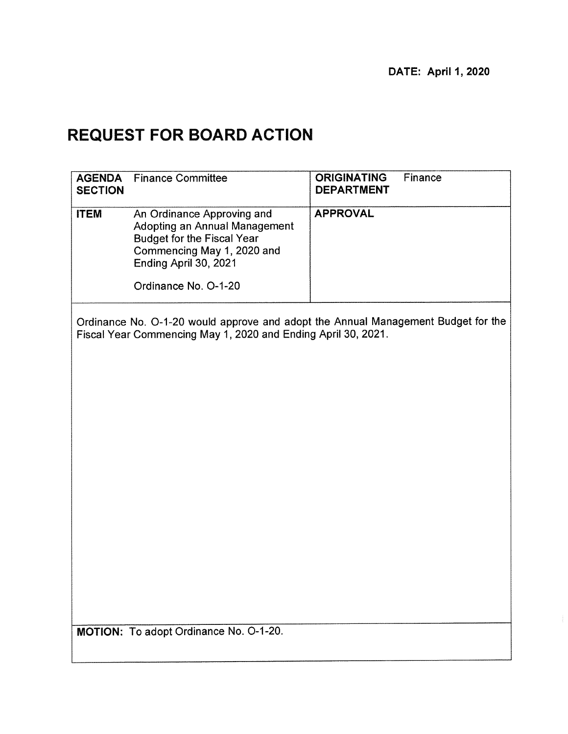# **REQUEST FOR BOARD ACTION**

| <b>AGENDA</b><br><b>SECTION</b>                                                                                                                    | <b>Finance Committee</b>                                                                                                                                                        | <b>ORIGINATING</b><br>Finance<br><b>DEPARTMENT</b> |  |  |  |  |
|----------------------------------------------------------------------------------------------------------------------------------------------------|---------------------------------------------------------------------------------------------------------------------------------------------------------------------------------|----------------------------------------------------|--|--|--|--|
| <b>ITEM</b>                                                                                                                                        | An Ordinance Approving and<br>Adopting an Annual Management<br><b>Budget for the Fiscal Year</b><br>Commencing May 1, 2020 and<br>Ending April 30, 2021<br>Ordinance No. O-1-20 | <b>APPROVAL</b>                                    |  |  |  |  |
| Ordinance No. O-1-20 would approve and adopt the Annual Management Budget for the<br>Fiscal Year Commencing May 1, 2020 and Ending April 30, 2021. |                                                                                                                                                                                 |                                                    |  |  |  |  |
|                                                                                                                                                    |                                                                                                                                                                                 |                                                    |  |  |  |  |
|                                                                                                                                                    |                                                                                                                                                                                 |                                                    |  |  |  |  |
|                                                                                                                                                    |                                                                                                                                                                                 |                                                    |  |  |  |  |
|                                                                                                                                                    |                                                                                                                                                                                 |                                                    |  |  |  |  |
|                                                                                                                                                    |                                                                                                                                                                                 |                                                    |  |  |  |  |
|                                                                                                                                                    | MOTION: To adopt Ordinance No. O-1-20.                                                                                                                                          |                                                    |  |  |  |  |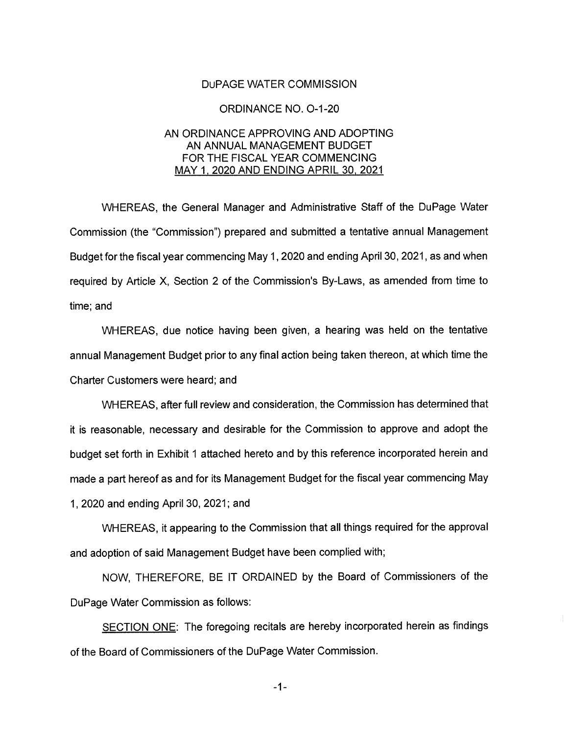#### DUPAGE WATER COMMISSION

#### ORDINANCE NO. 0-1-20

#### AN ORDINANCE APPROVING AND ADOPTING AN ANNUAL MANAGEMENT BUDGET FOR THE FISCAL YEAR COMMENCING MAY 1, 2020 AND ENDING APRIL 30, 2021

WHEREAS, the General Manager and Administrative Staff of the DuPage Water Commission (the "Commission") prepared and submitted a tentative annual Management Budget for the fiscal year commencing May 1, 2020 and ending April 30, 2021, as and when required by Article X, Section 2 of the Commission's By-Laws, as amended from time to time; and

WHEREAS, due notice having been given, a hearing was held on the tentative annual Management Budget prior to any final action being taken thereon, at which time the Charter Customers were heard; and

WHEREAS, after full review and consideration, the Commission has determined that it is reasonable, necessary and desirable for the Commission to approve and adopt the budget set forth in Exhibit 1 attached hereto and by this reference incorporated herein and made a part hereof as and for its Management Budget for the fiscal year commencing May 1, 2020 and ending April 30, 2021; and

WHEREAS, it appearing to the Commission that all things required for the approval and adoption of said Management Budget have been complied with;

NOW, THEREFORE, BE IT ORDAINED by the Board of Commissioners of the DuPage Water Commission as follows:

SECTION ONE: The foregoing recitals are hereby incorporated herein as findings of the Board of Commissioners of the DuPage Water Commission.

-1-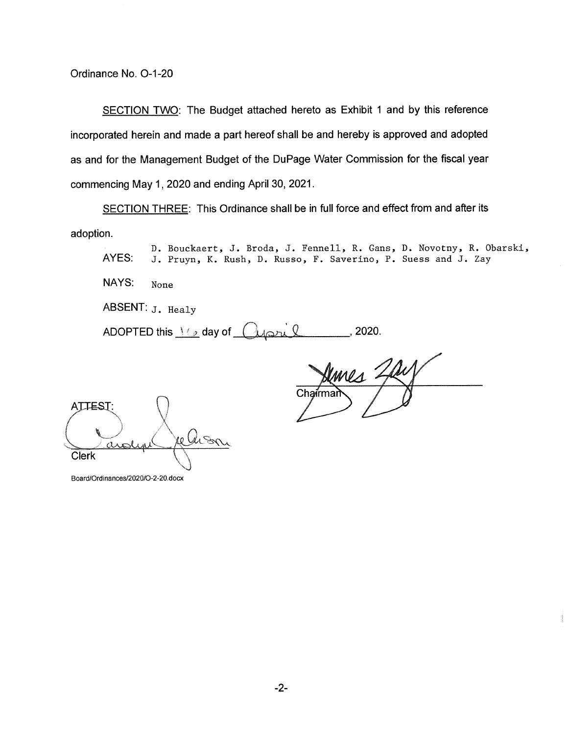SECTION TWO: The Budget attached hereto as Exhibit 1 and by this reference incorporated herein and made a part hereof shall be and hereby is approved and adopted as and for the Management Budget of the DuPage Water Commission for the fiscal year commencing May 1, 2020 and ending April 30, 2021.

SECTION THREE: This Ordinance shall be in full force and effect from and after its adoption.

D. Bouckaert, J. Broda, J. Fennell, R. Gans, D. Novotny, R. Obarski, AYES: J. Pruyn, K. Rush, D. Russo, F. Saverino, P. Suess and J. Zay NAYS: None ABSENT: J. Healy ADOPTED this  $\log$  day of  $(\log_{10} 0, \log_{10} 2020, \log_{10} 2020)$ .

 $\mathcal{N}\mathcal{N}$ Chairma

ATTEST: Gran 0 Clerk

Board/Ordinances/2020/0-2-20.docx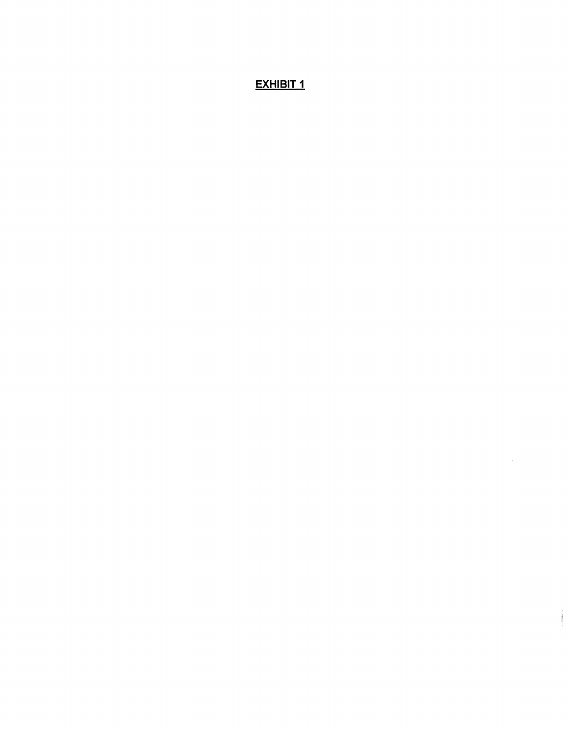# **EXHIBIT 1**

 $\mathcal{L}_{\mathcal{A}}$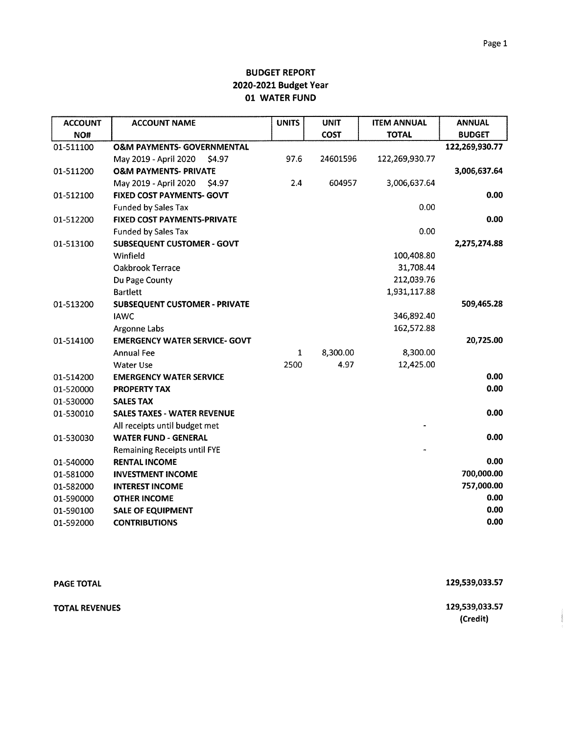| <b>ACCOUNT</b> | <b>ACCOUNT NAME</b>                   | <b>UNITS</b> | <b>UNIT</b> | <b>ITEM ANNUAL</b> | <b>ANNUAL</b>  |
|----------------|---------------------------------------|--------------|-------------|--------------------|----------------|
| NO#            |                                       |              | <b>COST</b> | <b>TOTAL</b>       | <b>BUDGET</b>  |
| 01-511100      | <b>O&amp;M PAYMENTS- GOVERNMENTAL</b> |              |             |                    | 122,269,930.77 |
|                | May 2019 - April 2020<br>\$4.97       | 97.6         | 24601596    | 122,269,930.77     |                |
| 01-511200      | <b>O&amp;M PAYMENTS- PRIVATE</b>      |              |             |                    | 3,006,637.64   |
|                | May 2019 - April 2020<br>\$4.97       | 2.4          | 604957      | 3,006,637.64       |                |
| 01-512100      | <b>FIXED COST PAYMENTS- GOVT</b>      |              |             |                    | 0.00           |
|                | <b>Funded by Sales Tax</b>            |              |             | 0.00               |                |
| 01-512200      | FIXED COST PAYMENTS-PRIVATE           |              |             |                    | 0.00           |
|                | <b>Funded by Sales Tax</b>            |              |             | 0.00               |                |
| 01-513100      | <b>SUBSEQUENT CUSTOMER - GOVT</b>     |              |             |                    | 2,275,274.88   |
|                | Winfield                              |              |             | 100,408.80         |                |
|                | Oakbrook Terrace                      |              |             | 31,708.44          |                |
|                | Du Page County                        |              |             | 212,039.76         |                |
|                | <b>Bartlett</b>                       |              |             | 1,931,117.88       |                |
| 01-513200      | <b>SUBSEQUENT CUSTOMER - PRIVATE</b>  |              |             |                    | 509,465.28     |
|                | <b>IAWC</b>                           |              |             | 346,892.40         |                |
|                | Argonne Labs                          |              |             | 162,572.88         |                |
| 01-514100      | <b>EMERGENCY WATER SERVICE- GOVT</b>  |              |             |                    | 20,725.00      |
|                | <b>Annual Fee</b>                     | 1            | 8,300.00    | 8,300.00           |                |
|                | Water Use                             | 2500         | 4.97        | 12,425.00          |                |
| 01-514200      | <b>EMERGENCY WATER SERVICE</b>        |              |             |                    | 0.00           |
| 01-520000      | <b>PROPERTY TAX</b>                   |              |             |                    | 0.00           |
| 01-530000      | <b>SALES TAX</b>                      |              |             |                    |                |
| 01-530010      | <b>SALES TAXES - WATER REVENUE</b>    |              |             |                    | 0.00           |
|                | All receipts until budget met         |              |             |                    |                |
| 01-530030      | <b>WATER FUND - GENERAL</b>           |              |             |                    | 0.00           |
|                | <b>Remaining Receipts until FYE</b>   |              |             |                    |                |
| 01-540000      | <b>RENTAL INCOME</b>                  |              |             |                    | 0.00           |
| 01-581000      | <b>INVESTMENT INCOME</b>              |              |             |                    | 700,000.00     |
| 01-582000      | <b>INTEREST INCOME</b>                |              |             |                    | 757,000.00     |
| 01-590000      | <b>OTHER INCOME</b>                   |              |             |                    | 0.00           |
| 01-590100      | <b>SALE OF EQUIPMENT</b>              |              |             |                    | 0.00           |
| 01-592000      | <b>CONTRIBUTIONS</b>                  |              |             |                    | 0.00           |

| <b>PAGE TOTAL</b>     | 129,539,033.57             |
|-----------------------|----------------------------|
| <b>TOTAL REVENUES</b> | 129,539,033.57<br>(Credit) |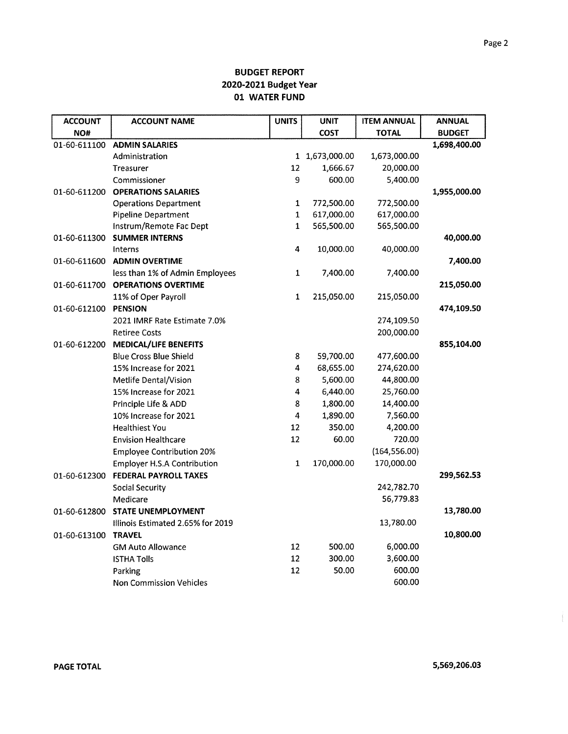| <b>ACCOUNT</b> | <b>ACCOUNT NAME</b>                | <b>UNITS</b> | <b>UNIT</b>    | <b>ITEM ANNUAL</b> | <b>ANNUAL</b> |
|----------------|------------------------------------|--------------|----------------|--------------------|---------------|
| NO#            |                                    |              | <b>COST</b>    | <b>TOTAL</b>       | <b>BUDGET</b> |
| 01-60-611100   | <b>ADMIN SALARIES</b>              |              |                |                    | 1,698,400.00  |
|                | Administration                     |              | 1 1,673,000.00 | 1,673,000.00       |               |
|                | Treasurer                          | 12           | 1,666.67       | 20,000.00          |               |
|                | Commissioner                       | 9            | 600.00         | 5,400.00           |               |
| 01-60-611200   | <b>OPERATIONS SALARIES</b>         |              |                |                    | 1,955,000.00  |
|                | <b>Operations Department</b>       | $\mathbf{1}$ | 772,500.00     | 772,500.00         |               |
|                | <b>Pipeline Department</b>         | $\mathbf 1$  | 617,000.00     | 617,000.00         |               |
|                | Instrum/Remote Fac Dept            | $\mathbf{1}$ | 565,500.00     | 565,500.00         |               |
| 01-60-611300   | <b>SUMMER INTERNS</b>              |              |                |                    | 40,000.00     |
|                | <b>Interns</b>                     | 4            | 10,000.00      | 40,000.00          |               |
| 01-60-611600   | <b>ADMIN OVERTIME</b>              |              |                |                    | 7,400.00      |
|                | less than 1% of Admin Employees    | 1            | 7,400.00       | 7,400.00           |               |
| 01-60-611700   | <b>OPERATIONS OVERTIME</b>         |              |                |                    | 215,050.00    |
|                | 11% of Oper Payroll                | 1            | 215,050.00     | 215,050.00         |               |
| 01-60-612100   | <b>PENSION</b>                     |              |                |                    | 474,109.50    |
|                | 2021 IMRF Rate Estimate 7.0%       |              |                | 274,109.50         |               |
|                | <b>Retiree Costs</b>               |              |                | 200,000.00         |               |
| 01-60-612200   | <b>MEDICAL/LIFE BENEFITS</b>       |              |                |                    | 855,104.00    |
|                | <b>Blue Cross Blue Shield</b>      | 8            | 59,700.00      | 477,600.00         |               |
|                | 15% Increase for 2021              | 4            | 68,655.00      | 274,620.00         |               |
|                | Metlife Dental/Vision              | 8            | 5,600.00       | 44,800.00          |               |
|                | 15% Increase for 2021              | 4            | 6,440.00       | 25,760.00          |               |
|                | Principle Life & ADD               | 8            | 1,800.00       | 14,400.00          |               |
|                | 10% Increase for 2021              | 4            | 1,890.00       | 7,560.00           |               |
|                | <b>Healthiest You</b>              | 12           | 350.00         | 4,200.00           |               |
|                | <b>Envision Healthcare</b>         | 12           | 60.00          | 720.00             |               |
|                | <b>Employee Contribution 20%</b>   |              |                | (164, 556.00)      |               |
|                | <b>Employer H.S.A Contribution</b> | 1            | 170,000.00     | 170,000.00         |               |
| 01-60-612300   | <b>FEDERAL PAYROLL TAXES</b>       |              |                |                    | 299,562.53    |
|                | Social Security                    |              |                | 242,782.70         |               |
|                | Medicare                           |              |                | 56,779.83          |               |
| 01-60-612800   | <b>STATE UNEMPLOYMENT</b>          |              |                |                    | 13,780.00     |
|                | Illinois Estimated 2.65% for 2019  |              |                | 13,780.00          |               |
| 01-60-613100   | <b>TRAVEL</b>                      |              |                |                    | 10,800.00     |
|                | <b>GM Auto Allowance</b>           | 12           | 500.00         | 6,000.00           |               |
|                | <b>ISTHA Tolls</b>                 | 12           | 300.00         | 3,600.00           |               |
|                | Parking                            | 12           | 50.00          | 600.00             |               |
|                | <b>Non Commission Vehicles</b>     |              |                | 600.00             |               |

 $\frac{1}{2}$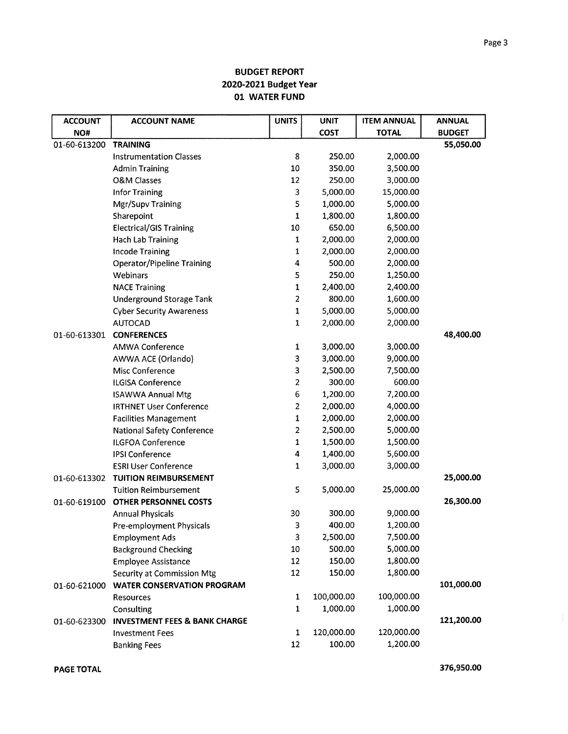| <b>ACCOUNT</b> | <b>ACCOUNT NAME</b>                      | <b>UNITS</b>              | <b>UNIT</b> | <b>ITEM ANNUAL</b> | <b>ANNUAL</b> |
|----------------|------------------------------------------|---------------------------|-------------|--------------------|---------------|
| NO#            |                                          |                           | <b>COST</b> | <b>TOTAL</b>       | <b>BUDGET</b> |
| 01-60-613200   | <b>TRAINING</b>                          |                           |             |                    | 55,050.00     |
|                | <b>Instrumentation Classes</b>           | 8                         | 250.00      | 2,000.00           |               |
|                | <b>Admin Training</b>                    | 10                        | 350.00      | 3,500.00           |               |
|                | <b>O&amp;M Classes</b>                   | 12                        | 250.00      | 3,000.00           |               |
|                | <b>Infor Training</b>                    | 3                         | 5,000.00    | 15,000.00          |               |
|                | Mgr/Supv Training                        | 5                         | 1,000.00    | 5,000.00           |               |
|                | Sharepoint                               | 1                         | 1,800.00    | 1,800.00           |               |
|                | <b>Electrical/GIS Training</b>           | $10\,$                    | 650.00      | 6,500.00           |               |
|                | Hach Lab Training                        | 1                         | 2,000.00    | 2,000.00           |               |
|                | <b>Incode Training</b>                   | 1                         | 2,000.00    | 2,000.00           |               |
|                | <b>Operator/Pipeline Training</b>        | 4                         | 500.00      | 2,000.00           |               |
|                | Webinars                                 | 5                         | 250.00      | 1,250.00           |               |
|                | <b>NACE Training</b>                     | 1                         | 2,400.00    | 2,400.00           |               |
|                | Underground Storage Tank                 | $\overline{c}$            | 800.00      | 1,600.00           |               |
|                | <b>Cyber Security Awareness</b>          | 1                         | 5,000.00    | 5,000.00           |               |
|                | <b>AUTOCAD</b>                           | 1                         | 2,000.00    | 2,000.00           |               |
| 01-60-613301   | <b>CONFERENCES</b>                       |                           |             |                    | 48,400.00     |
|                | <b>AMWA Conference</b>                   | 1                         | 3,000.00    | 3,000.00           |               |
|                | AWWA ACE (Orlando)                       | 3                         | 3,000.00    | 9,000.00           |               |
|                | Misc Conference                          | 3                         | 2,500.00    | 7,500.00           |               |
|                | <b>ILGISA Conference</b>                 | $\overline{2}$            | 300.00      | 600.00             |               |
|                | <b>ISAWWA Annual Mtg</b>                 | 6                         | 1,200.00    | 7,200.00           |               |
|                | <b>IRTHNET User Conference</b>           | $\mathbf 2$               | 2,000.00    | 4,000.00           |               |
|                | <b>Facilities Management</b>             | 1                         | 2,000.00    | 2,000.00           |               |
|                | <b>National Safety Conference</b>        | $\overline{2}$            | 2,500.00    | 5,000.00           |               |
|                | <b>ILGFOA Conference</b>                 | 1                         | 1,500.00    | 1,500.00           |               |
|                | <b>IPSI Conference</b>                   | 4                         | 1,400.00    | 5,600.00           |               |
|                | <b>ESRI User Conference</b>              | 1                         | 3,000.00    | 3,000.00           |               |
| 01-60-613302   | <b>TUITION REIMBURSEMENT</b>             |                           |             |                    | 25,000.00     |
|                | <b>Tuition Reimbursement</b>             | 5                         | 5,000.00    | 25,000.00          |               |
| 01-60-619100   | <b>OTHER PERSONNEL COSTS</b>             |                           |             |                    | 26,300.00     |
|                | <b>Annual Physicals</b>                  | 30                        | 300.00      | 9,000.00           |               |
|                | Pre-employment Physicals                 | 3                         | 400.00      | 1,200.00           |               |
|                | <b>Employment Ads</b>                    | $\ensuremath{\mathsf{3}}$ | 2,500.00    | 7,500.00           |               |
|                | <b>Background Checking</b>               | 10                        | 500.00      | 5,000.00           |               |
|                | <b>Employee Assistance</b>               | 12                        | 150.00      | 1,800.00           |               |
|                | <b>Security at Commission Mtg</b>        | 12                        | 150.00      | 1,800.00           |               |
| 01-60-621000   | <b>WATER CONSERVATION PROGRAM</b>        |                           |             |                    | 101,000.00    |
|                | <b>Resources</b>                         | 1                         | 100,000.00  | 100,000.00         |               |
|                | Consulting                               | $\mathbf 1$               | 1,000.00    | 1,000.00           |               |
| 01-60-623300   | <b>INVESTMENT FEES &amp; BANK CHARGE</b> |                           |             |                    | 121,200.00    |
|                | <b>Investment Fees</b>                   | $\mathbf 1$               | 120,000.00  | 120,000.00         |               |
|                | <b>Banking Fees</b>                      | $12\,$                    | 100.00      | 1,200.00           |               |

 $\frac{1}{2}$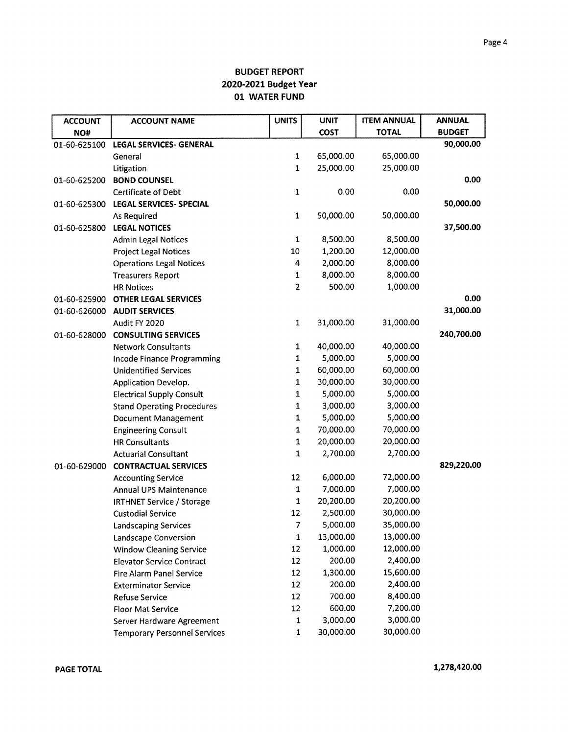| <b>ACCOUNT</b> | <b>ACCOUNT NAME</b>                 | <b>UNITS</b>   | <b>UNIT</b> | <b>ITEM ANNUAL</b> | <b>ANNUAL</b> |
|----------------|-------------------------------------|----------------|-------------|--------------------|---------------|
| NO#            |                                     |                | <b>COST</b> | <b>TOTAL</b>       | <b>BUDGET</b> |
| 01-60-625100   | <b>LEGAL SERVICES- GENERAL</b>      |                |             |                    | 90,000.00     |
|                | General                             | $\mathbf{1}$   | 65,000.00   | 65,000.00          |               |
|                | Litigation                          | $\mathbf{1}$   | 25,000.00   | 25,000.00          |               |
| 01-60-625200   | <b>BOND COUNSEL</b>                 |                |             |                    | 0.00          |
|                | Certificate of Debt                 | 1              | 0.00        | 0.00               |               |
| 01-60-625300   | <b>LEGAL SERVICES- SPECIAL</b>      |                |             |                    | 50,000.00     |
|                | As Required                         | 1              | 50,000.00   | 50,000.00          |               |
| 01-60-625800   | <b>LEGAL NOTICES</b>                |                |             |                    | 37,500.00     |
|                | <b>Admin Legal Notices</b>          | $\mathbf 1$    | 8,500.00    | 8,500.00           |               |
|                | <b>Project Legal Notices</b>        | 10             | 1,200.00    | 12,000.00          |               |
|                | <b>Operations Legal Notices</b>     | 4              | 2,000.00    | 8,000.00           |               |
|                | <b>Treasurers Report</b>            | 1              | 8,000.00    | 8,000.00           |               |
|                | <b>HR Notices</b>                   | $\overline{2}$ | 500.00      | 1,000.00           |               |
| 01-60-625900   | <b>OTHER LEGAL SERVICES</b>         |                |             |                    | 0.00          |
| 01-60-626000   | <b>AUDIT SERVICES</b>               |                |             |                    | 31,000.00     |
|                | Audit FY 2020                       | $\mathbf 1$    | 31,000.00   | 31,000.00          |               |
| 01-60-628000   | <b>CONSULTING SERVICES</b>          |                |             |                    | 240,700.00    |
|                | <b>Network Consultants</b>          | $\mathbf 1$    | 40,000.00   | 40,000.00          |               |
|                | Incode Finance Programming          | $\mathbf{1}$   | 5,000.00    | 5,000.00           |               |
|                | <b>Unidentified Services</b>        | $\mathbf 1$    | 60,000.00   | 60,000.00          |               |
|                | Application Develop.                | 1              | 30,000.00   | 30,000.00          |               |
|                | <b>Electrical Supply Consult</b>    | 1              | 5,000.00    | 5,000.00           |               |
|                | <b>Stand Operating Procedures</b>   | 1              | 3,000.00    | 3,000.00           |               |
|                | <b>Document Management</b>          | $\mathbf 1$    | 5,000.00    | 5,000.00           |               |
|                | <b>Engineering Consult</b>          | $\mathbf{1}$   | 70,000.00   | 70,000.00          |               |
|                | <b>HR Consultants</b>               | $\mathbf 1$    | 20,000.00   | 20,000.00          |               |
|                | <b>Actuarial Consultant</b>         | 1              | 2,700.00    | 2,700.00           |               |
| 01-60-629000   | <b>CONTRACTUAL SERVICES</b>         |                |             |                    | 829,220.00    |
|                | <b>Accounting Service</b>           | 12             | 6,000.00    | 72,000.00          |               |
|                | Annual UPS Maintenance              | 1              | 7,000.00    | 7,000.00           |               |
|                | <b>IRTHNET Service / Storage</b>    | 1              | 20,200.00   | 20,200.00          |               |
|                | <b>Custodial Service</b>            | 12             | 2,500.00    | 30,000.00          |               |
|                | Landscaping Services                | 7              | 5,000.00    | 35,000.00          |               |
|                | <b>Landscape Conversion</b>         | $\mathbf 1$    | 13,000.00   | 13,000.00          |               |
|                | <b>Window Cleaning Service</b>      | 12             | 1,000.00    | 12,000.00          |               |
|                | <b>Elevator Service Contract</b>    | 12             | 200.00      | 2,400.00           |               |
|                | Fire Alarm Panel Service            | 12             | 1,300.00    | 15,600.00          |               |
|                | <b>Exterminator Service</b>         | 12             | 200.00      | 2,400.00           |               |
|                | <b>Refuse Service</b>               | 12             | 700.00      | 8,400.00           |               |
|                | <b>Floor Mat Service</b>            | 12             | 600.00      | 7,200.00           |               |
|                | Server Hardware Agreement           | 1              | 3,000.00    | 3,000.00           |               |
|                | <b>Temporary Personnel Services</b> | 1              | 30,000.00   | 30,000.00          |               |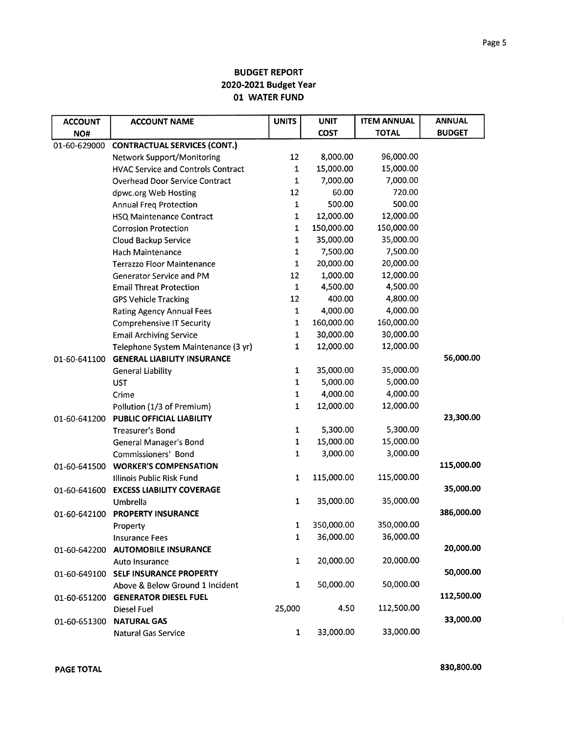| <b>ACCOUNT</b> | <b>ACCOUNT NAME</b>                       | <b>UNITS</b> | <b>UNIT</b> | <b>ITEM ANNUAL</b> | <b>ANNUAL</b> |
|----------------|-------------------------------------------|--------------|-------------|--------------------|---------------|
| NO#            |                                           |              | <b>COST</b> | <b>TOTAL</b>       | <b>BUDGET</b> |
| 01-60-629000   | <b>CONTRACTUAL SERVICES (CONT.)</b>       |              |             |                    |               |
|                | <b>Network Support/Monitoring</b>         | 12           | 8,000.00    | 96,000.00          |               |
|                | <b>HVAC Service and Controls Contract</b> | $\mathbf 1$  | 15,000.00   | 15,000.00          |               |
|                | <b>Overhead Door Service Contract</b>     | $\mathbf{1}$ | 7,000.00    | 7,000.00           |               |
|                | dpwc.org Web Hosting                      | 12           | 60.00       | 720.00             |               |
|                | <b>Annual Freq Protection</b>             | 1            | 500.00      | 500.00             |               |
|                | <b>HSQ Maintenance Contract</b>           | 1            | 12,000.00   | 12,000.00          |               |
|                | <b>Corrosion Protection</b>               | 1            | 150,000.00  | 150,000.00         |               |
|                | Cloud Backup Service                      | 1            | 35,000.00   | 35,000.00          |               |
|                | <b>Hach Maintenance</b>                   | 1            | 7,500.00    | 7,500.00           |               |
|                | <b>Terrazzo Floor Maintenance</b>         | 1            | 20,000.00   | 20,000.00          |               |
|                | Generator Service and PM                  | 12           | 1,000.00    | 12,000.00          |               |
|                | <b>Email Threat Protection</b>            | $\mathbf 1$  | 4,500.00    | 4,500.00           |               |
|                | <b>GPS Vehicle Tracking</b>               | 12           | 400.00      | 4,800.00           |               |
|                | <b>Rating Agency Annual Fees</b>          | $\mathbf{1}$ | 4,000.00    | 4,000.00           |               |
|                | <b>Comprehensive IT Security</b>          | 1            | 160,000.00  | 160,000.00         |               |
|                | <b>Email Archiving Service</b>            | 1            | 30,000.00   | 30,000.00          |               |
|                | Telephone System Maintenance (3 yr)       | 1            | 12,000.00   | 12,000.00          |               |
| 01-60-641100   | <b>GENERAL LIABILITY INSURANCE</b>        |              |             |                    | 56,000.00     |
|                | <b>General Liability</b>                  | 1            | 35,000.00   | 35,000.00          |               |
|                | <b>UST</b>                                | 1            | 5,000.00    | 5,000.00           |               |
|                | Crime                                     | ${\bf 1}$    | 4,000.00    | 4,000.00           |               |
|                | Pollution (1/3 of Premium)                | 1            | 12,000.00   | 12,000.00          |               |
| 01-60-641200   | PUBLIC OFFICIAL LIABILITY                 |              |             |                    | 23,300.00     |
|                | <b>Treasurer's Bond</b>                   | $\mathbf{1}$ | 5,300.00    | 5,300.00           |               |
|                | General Manager's Bond                    | $\mathbf 1$  | 15,000.00   | 15,000.00          |               |
|                | Commissioners' Bond                       | $\mathbf{1}$ | 3,000.00    | 3,000.00           |               |
| 01-60-641500   | <b>WORKER'S COMPENSATION</b>              |              |             |                    | 115,000.00    |
|                | Illinois Public Risk Fund                 | $\mathbf{1}$ | 115,000.00  | 115,000.00         |               |
| 01-60-641600   | <b>EXCESS LIABILITY COVERAGE</b>          |              |             |                    | 35,000.00     |
|                | Umbrella                                  | $\mathbf{1}$ | 35,000.00   | 35,000.00          |               |
| 01-60-642100   | <b>PROPERTY INSURANCE</b>                 |              |             |                    | 386,000.00    |
|                | Property                                  | $\mathbf 1$  | 350,000.00  | 350,000.00         |               |
|                | <b>Insurance Fees</b>                     | $\mathbf{1}$ | 36,000.00   | 36,000.00          |               |
| 01-60-642200   | <b>AUTOMOBILE INSURANCE</b>               |              |             |                    | 20,000.00     |
|                | Auto Insurance                            | 1            | 20,000.00   | 20,000.00          |               |
| 01-60-649100   | SELF INSURANCE PROPERTY                   |              |             |                    | 50,000.00     |
|                | Above & Below Ground 1 Incident           | 1            | 50,000.00   | 50,000.00          |               |
| 01-60-651200   | <b>GENERATOR DIESEL FUEL</b>              |              |             |                    | 112,500.00    |
|                | Diesel Fuel                               | 25,000       | 4.50        | 112,500.00         |               |
| 01-60-651300   | <b>NATURAL GAS</b>                        |              |             |                    | 33,000.00     |
|                | <b>Natural Gas Service</b>                | 1            | 33,000.00   | 33,000.00          |               |

 $\frac{1}{3}$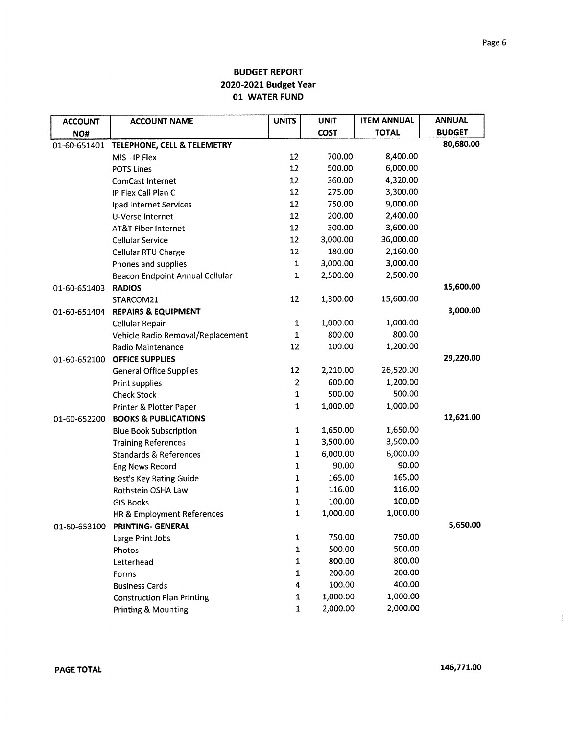| <b>ACCOUNT</b> | <b>ACCOUNT NAME</b>               | <b>UNITS</b>   | <b>UNIT</b> | <b>ITEM ANNUAL</b> | <b>ANNUAL</b> |
|----------------|-----------------------------------|----------------|-------------|--------------------|---------------|
| NO#            |                                   |                | COST        | <b>TOTAL</b>       | <b>BUDGET</b> |
| 01-60-651401   | TELEPHONE, CELL & TELEMETRY       |                |             |                    | 80,680.00     |
|                | MIS - IP Flex                     | 12             | 700.00      | 8,400.00           |               |
|                | <b>POTS Lines</b>                 | 12             | 500.00      | 6,000.00           |               |
|                | ComCast Internet                  | 12             | 360.00      | 4,320.00           |               |
|                | IP Flex Call Plan C               | 12             | 275.00      | 3,300.00           |               |
|                | Ipad Internet Services            | 12             | 750.00      | 9,000.00           |               |
|                | U-Verse Internet                  | 12             | 200.00      | 2,400.00           |               |
|                | <b>AT&amp;T Fiber Internet</b>    | 12             | 300.00      | 3,600.00           |               |
|                | Cellular Service                  | 12             | 3,000.00    | 36,000.00          |               |
|                | Cellular RTU Charge               | 12             | 180.00      | 2,160.00           |               |
|                | Phones and supplies               | $\mathbf 1$    | 3,000.00    | 3,000.00           |               |
|                | Beacon Endpoint Annual Cellular   | 1              | 2,500.00    | 2,500.00           |               |
| 01-60-651403   | <b>RADIOS</b>                     |                |             |                    | 15,600.00     |
|                | STARCOM21                         | 12             | 1,300.00    | 15,600.00          |               |
| 01-60-651404   | <b>REPAIRS &amp; EQUIPMENT</b>    |                |             |                    | 3,000.00      |
|                | Cellular Repair                   | 1              | 1,000.00    | 1,000.00           |               |
|                | Vehicle Radio Removal/Replacement | 1              | 800.00      | 800.00             |               |
|                | Radio Maintenance                 | 12             | 100.00      | 1,200.00           |               |
| 01-60-652100   | <b>OFFICE SUPPLIES</b>            |                |             |                    | 29,220.00     |
|                | <b>General Office Supplies</b>    | 12             | 2,210.00    | 26,520.00          |               |
|                | Print supplies                    | $\overline{2}$ | 600.00      | 1,200.00           |               |
|                | <b>Check Stock</b>                | 1              | 500.00      | 500.00             |               |
|                | Printer & Plotter Paper           | 1              | 1,000.00    | 1,000.00           |               |
| 01-60-652200   | <b>BOOKS &amp; PUBLICATIONS</b>   |                |             |                    | 12,621.00     |
|                | <b>Blue Book Subscription</b>     | $\mathbf 1$    | 1,650.00    | 1,650.00           |               |
|                | <b>Training References</b>        | 1              | 3,500.00    | 3,500.00           |               |
|                | <b>Standards &amp; References</b> | $\mathbf{1}$   | 6,000.00    | 6,000.00           |               |
|                | <b>Eng News Record</b>            | 1              | 90.00       | 90.00              |               |
|                | Best's Key Rating Guide           | 1              | 165.00      | 165.00             |               |
|                | Rothstein OSHA Law                | 1              | 116.00      | 116.00             |               |
|                | <b>GIS Books</b>                  | 1              | 100.00      | 100.00             |               |
|                | HR & Employment References        | 1              | 1,000.00    | 1,000.00           |               |
| 01-60-653100   | PRINTING- GENERAL                 |                |             |                    | 5,650.00      |
|                | Large Print Jobs                  | 1              | 750.00      | 750.00             |               |
|                | Photos                            | $\mathbf 1$    | 500.00      | 500.00             |               |
|                | Letterhead                        | 1              | 800.00      | 800.00             |               |
|                | Forms                             | $\mathbf{1}$   | 200.00      | 200.00             |               |
|                | <b>Business Cards</b>             | 4              | 100.00      | 400.00             |               |
|                | <b>Construction Plan Printing</b> | $\mathbf 1$    | 1,000.00    | 1,000.00           |               |
|                | <b>Printing &amp; Mounting</b>    | $\mathbf{1}$   | 2,000.00    | 2,000.00           |               |

 $\overline{\mathcal{C}}$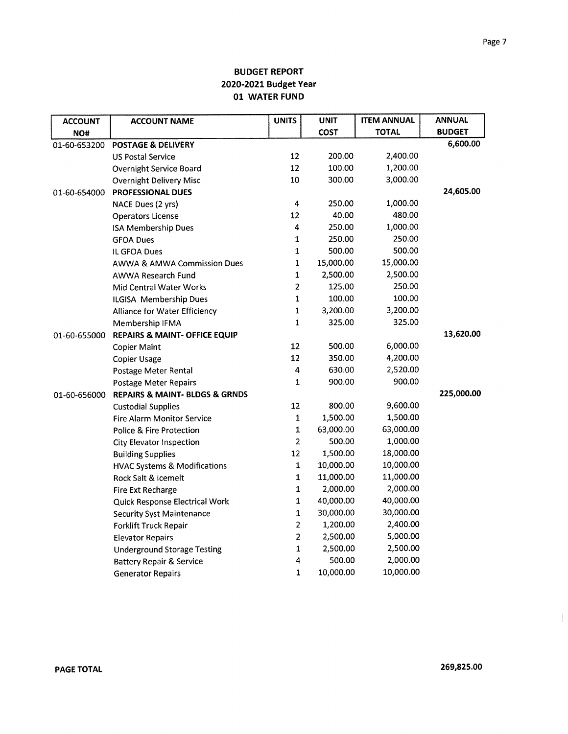| <b>ACCOUNT</b> | <b>ACCOUNT NAME</b>                           | <b>UNITS</b>   | <b>UNIT</b> | <b>ITEM ANNUAL</b> | <b>ANNUAL</b> |
|----------------|-----------------------------------------------|----------------|-------------|--------------------|---------------|
| NO#            |                                               |                | <b>COST</b> | <b>TOTAL</b>       | <b>BUDGET</b> |
| 01-60-653200   | <b>POSTAGE &amp; DELIVERY</b>                 |                |             |                    | 6,600.00      |
|                | <b>US Postal Service</b>                      | 12             | 200.00      | 2,400.00           |               |
|                | <b>Overnight Service Board</b>                | 12             | 100.00      | 1,200.00           |               |
|                | <b>Overnight Delivery Misc</b>                | 10             | 300.00      | 3,000.00           |               |
| 01-60-654000   | <b>PROFESSIONAL DUES</b>                      |                |             |                    | 24,605.00     |
|                | NACE Dues (2 yrs)                             | 4              | 250.00      | 1,000.00           |               |
|                | <b>Operators License</b>                      | 12             | 40.00       | 480.00             |               |
|                | <b>ISA Membership Dues</b>                    | 4              | 250.00      | 1,000.00           |               |
|                | <b>GFOA Dues</b>                              | 1              | 250.00      | 250.00             |               |
|                | IL GFOA Dues                                  | 1              | 500.00      | 500.00             |               |
|                | <b>AWWA &amp; AMWA Commission Dues</b>        | 1              | 15,000.00   | 15,000.00          |               |
|                | <b>AWWA Research Fund</b>                     | 1              | 2,500.00    | 2,500.00           |               |
|                | Mid Central Water Works                       | $\overline{2}$ | 125.00      | 250.00             |               |
|                | ILGISA Membership Dues                        | $\mathbf{1}$   | 100.00      | 100.00             |               |
|                | Alliance for Water Efficiency                 | $\mathbf{1}$   | 3,200.00    | 3,200.00           |               |
|                | Membership IFMA                               | $\mathbf{1}$   | 325.00      | 325.00             |               |
| 01-60-655000   | <b>REPAIRS &amp; MAINT- OFFICE EQUIP</b>      |                |             |                    | 13,620.00     |
|                | <b>Copier Maint</b>                           | 12             | 500.00      | 6,000.00           |               |
|                | <b>Copier Usage</b>                           | 12             | 350.00      | 4,200.00           |               |
|                | Postage Meter Rental                          | 4              | 630.00      | 2,520.00           |               |
|                | <b>Postage Meter Repairs</b>                  | 1              | 900.00      | 900.00             |               |
| 01-60-656000   | <b>REPAIRS &amp; MAINT- BLDGS &amp; GRNDS</b> |                |             |                    | 225,000.00    |
|                | <b>Custodial Supplies</b>                     | $12\,$         | 800.00      | 9,600.00           |               |
|                | <b>Fire Alarm Monitor Service</b>             | $\mathbf 1$    | 1,500.00    | 1,500.00           |               |
|                | Police & Fire Protection                      | $\mathbf 1$    | 63,000.00   | 63,000.00          |               |
|                | <b>City Elevator Inspection</b>               | $\overline{2}$ | 500.00      | 1,000.00           |               |
|                | <b>Building Supplies</b>                      | 12             | 1,500.00    | 18,000.00          |               |
|                | <b>HVAC Systems &amp; Modifications</b>       | $\mathbf 1$    | 10,000.00   | 10,000.00          |               |
|                | Rock Salt & Icemelt                           | $\mathbf{1}$   | 11,000.00   | 11,000.00          |               |
|                | <b>Fire Ext Recharge</b>                      | $\mathbf 1$    | 2,000.00    | 2,000.00           |               |
|                | Quick Response Electrical Work                | $\mathbf 1$    | 40,000.00   | 40,000.00          |               |
|                | <b>Security Syst Maintenance</b>              | $\mathbf 1$    | 30,000.00   | 30,000.00          |               |
|                | <b>Forklift Truck Repair</b>                  | $\overline{2}$ | 1,200.00    | 2,400.00           |               |
|                | <b>Elevator Repairs</b>                       | $\overline{2}$ | 2,500.00    | 5,000.00           |               |
|                | <b>Underground Storage Testing</b>            | $\mathbf 1$    | 2,500.00    | 2,500.00           |               |
|                | <b>Battery Repair &amp; Service</b>           | 4              | 500.00      | 2,000.00           |               |
|                | <b>Generator Repairs</b>                      | 1              | 10,000.00   | 10,000.00          |               |

 $\frac{1}{2}$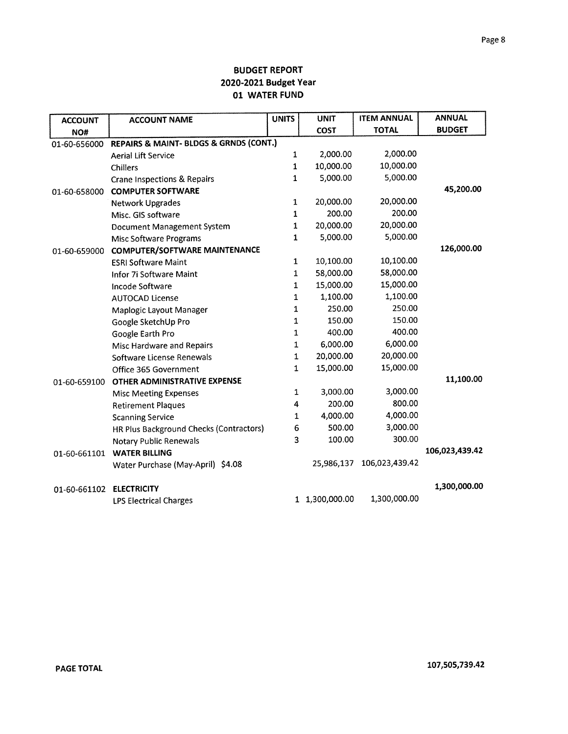| <b>ACCOUNT</b> | <b>ACCOUNT NAME</b>                     | <b>UNITS</b> | <b>UNIT</b>    | <b>ITEM ANNUAL</b> | <b>ANNUAL</b>  |
|----------------|-----------------------------------------|--------------|----------------|--------------------|----------------|
| NO#            |                                         |              | <b>COST</b>    | <b>TOTAL</b>       | <b>BUDGET</b>  |
| 01-60-656000   | REPAIRS & MAINT- BLDGS & GRNDS (CONT.)  |              |                |                    |                |
|                | <b>Aerial Lift Service</b>              | 1            | 2,000.00       | 2,000.00           |                |
|                | Chillers                                | 1            | 10,000.00      | 10,000.00          |                |
|                | <b>Crane Inspections &amp; Repairs</b>  | $\mathbf{1}$ | 5,000.00       | 5,000.00           |                |
| 01-60-658000   | <b>COMPUTER SOFTWARE</b>                |              |                |                    | 45,200.00      |
|                | <b>Network Upgrades</b>                 | 1            | 20,000.00      | 20,000.00          |                |
|                | Misc. GIS software                      | $\mathbf{1}$ | 200.00         | 200.00             |                |
|                | <b>Document Management System</b>       | $\mathbf{1}$ | 20,000.00      | 20,000.00          |                |
|                | Misc Software Programs                  | $\mathbf{1}$ | 5,000.00       | 5,000.00           |                |
| 01-60-659000   | <b>COMPUTER/SOFTWARE MAINTENANCE</b>    |              |                |                    | 126,000.00     |
|                | <b>ESRI Software Maint</b>              | 1            | 10,100.00      | 10,100.00          |                |
|                | Infor 7i Software Maint                 | 1            | 58,000.00      | 58,000.00          |                |
|                | Incode Software                         | 1            | 15,000.00      | 15,000.00          |                |
|                | <b>AUTOCAD License</b>                  | 1            | 1,100.00       | 1,100.00           |                |
|                | Maplogic Layout Manager                 | $\mathbf 1$  | 250.00         | 250.00             |                |
|                | Google SketchUp Pro                     | 1            | 150.00         | 150.00             |                |
|                | Google Earth Pro                        | $\mathbf{1}$ | 400.00         | 400.00             |                |
|                | Misc Hardware and Repairs               | 1            | 6,000.00       | 6,000.00           |                |
|                | Software License Renewals               | $\mathbf 1$  | 20,000.00      | 20,000.00          |                |
|                | Office 365 Government                   | $\mathbf{1}$ | 15,000.00      | 15,000.00          |                |
| 01-60-659100   | OTHER ADMINISTRATIVE EXPENSE            |              |                |                    | 11,100.00      |
|                | <b>Misc Meeting Expenses</b>            | 1            | 3,000.00       | 3,000.00           |                |
|                | <b>Retirement Plaques</b>               | 4            | 200.00         | 800.00             |                |
|                | <b>Scanning Service</b>                 | 1            | 4,000.00       | 4,000.00           |                |
|                | HR Plus Background Checks (Contractors) | 6            | 500.00         | 3,000.00           |                |
|                | <b>Notary Public Renewals</b>           | 3            | 100.00         | 300.00             |                |
| 01-60-661101   | <b>WATER BILLING</b>                    |              |                |                    | 106,023,439.42 |
|                | Water Purchase (May-April) \$4.08       |              | 25,986,137     | 106,023,439.42     |                |
|                |                                         |              |                |                    |                |
| 01-60-661102   | <b>ELECTRICITY</b>                      |              |                |                    | 1,300,000.00   |
|                | <b>LPS Electrical Charges</b>           |              | 1 1,300,000.00 | 1,300,000.00       |                |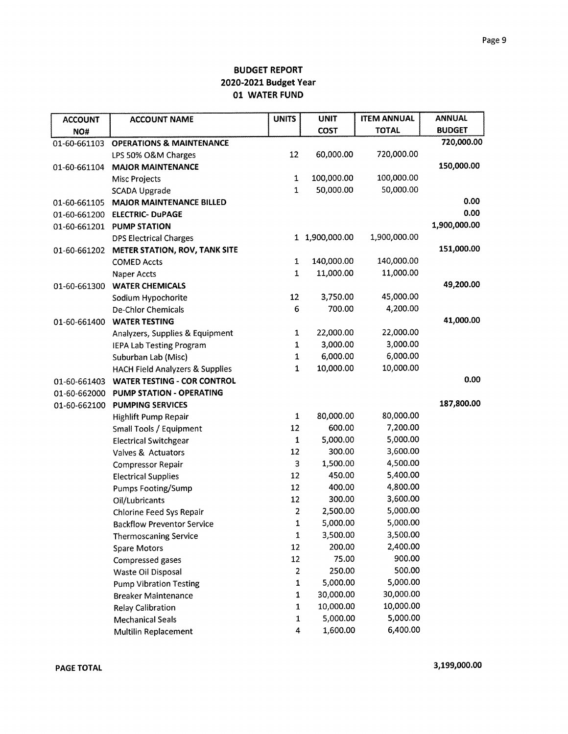| <b>ACCOUNT</b> | <b>ACCOUNT NAME</b>                        | <b>UNITS</b>   | <b>UNIT</b>    | <b>ITEM ANNUAL</b> | <b>ANNUAL</b> |
|----------------|--------------------------------------------|----------------|----------------|--------------------|---------------|
| NO#            |                                            |                | <b>COST</b>    | <b>TOTAL</b>       | <b>BUDGET</b> |
| 01-60-661103   | <b>OPERATIONS &amp; MAINTENANCE</b>        |                |                |                    | 720,000.00    |
|                | LPS 50% O&M Charges                        | 12             | 60,000.00      | 720,000.00         |               |
| 01-60-661104   | <b>MAJOR MAINTENANCE</b>                   |                |                |                    | 150,000.00    |
|                | Misc Projects                              | $\mathbf{1}$   | 100,000.00     | 100,000.00         |               |
|                | <b>SCADA Upgrade</b>                       | $\mathbf 1$    | 50,000.00      | 50,000.00          |               |
| 01-60-661105   | <b>MAJOR MAINTENANCE BILLED</b>            |                |                |                    | 0.00          |
| 01-60-661200   | <b>ELECTRIC- DuPAGE</b>                    |                |                |                    | 0.00          |
| 01-60-661201   | <b>PUMP STATION</b>                        |                |                |                    | 1,900,000.00  |
|                | <b>DPS Electrical Charges</b>              |                | 1 1,900,000.00 | 1,900,000.00       |               |
| 01-60-661202   | METER STATION, ROV, TANK SITE              |                |                |                    | 151,000.00    |
|                | <b>COMED Accts</b>                         | $\mathbf 1$    | 140,000.00     | 140,000.00         |               |
|                | Naper Accts                                | $\mathbf 1$    | 11,000.00      | 11,000.00          |               |
| 01-60-661300   | <b>WATER CHEMICALS</b>                     |                |                |                    | 49,200.00     |
|                | Sodium Hypochorite                         | 12             | 3,750.00       | 45,000.00          |               |
|                | <b>De-Chlor Chemicals</b>                  | 6              | 700.00         | 4,200.00           |               |
| 01-60-661400   | <b>WATER TESTING</b>                       |                |                |                    | 41,000.00     |
|                | Analyzers, Supplies & Equipment            | 1              | 22,000.00      | 22,000.00          |               |
|                | <b>IEPA Lab Testing Program</b>            | $\mathbf{1}$   | 3,000.00       | 3,000.00           |               |
|                | Suburban Lab (Misc)                        | 1              | 6,000.00       | 6,000.00           |               |
|                | <b>HACH Field Analyzers &amp; Supplies</b> | 1              | 10,000.00      | 10,000.00          |               |
| 01-60-661403   | <b>WATER TESTING - COR CONTROL</b>         |                |                |                    | 0.00          |
| 01-60-662000   | PUMP STATION - OPERATING                   |                |                |                    |               |
| 01-60-662100   | <b>PUMPING SERVICES</b>                    |                |                |                    | 187,800.00    |
|                | Highlift Pump Repair                       | $\mathbf{1}$   | 80,000.00      | 80,000.00          |               |
|                | Small Tools / Equipment                    | 12             | 600.00         | 7,200.00           |               |
|                | <b>Electrical Switchgear</b>               | $\mathbf{1}$   | 5,000.00       | 5,000.00           |               |
|                | Valves & Actuators                         | 12             | 300.00         | 3,600.00           |               |
|                | <b>Compressor Repair</b>                   | 3              | 1,500.00       | 4,500.00           |               |
|                | <b>Electrical Supplies</b>                 | 12             | 450.00         | 5,400.00           |               |
|                | <b>Pumps Footing/Sump</b>                  | 12             | 400.00         | 4,800.00           |               |
|                | Oil/Lubricants                             | 12             | 300.00         | 3,600.00           |               |
|                | Chlorine Feed Sys Repair                   | 2              | 2,500.00       | 5,000.00           |               |
|                | <b>Backflow Preventor Service</b>          | 1              | 5,000.00       | 5,000.00           |               |
|                | <b>Thermoscaning Service</b>               | $\mathbf 1$    | 3,500.00       | 3,500.00           |               |
|                | Spare Motors                               | 12             | 200.00         | 2,400.00           |               |
|                | Compressed gases                           | 12             | 75.00          | 900.00             |               |
|                | Waste Oil Disposal                         | $\overline{2}$ | 250.00         | 500.00             |               |
|                | <b>Pump Vibration Testing</b>              | $\mathbf{1}$   | 5,000.00       | 5,000.00           |               |
|                | <b>Breaker Maintenance</b>                 | $\mathbf 1$    | 30,000.00      | 30,000.00          |               |
|                | <b>Relay Calibration</b>                   | $\mathbf{1}$   | 10,000.00      | 10,000.00          |               |
|                | <b>Mechanical Seals</b>                    | $\mathbf{1}$   | 5,000.00       | 5,000.00           |               |
|                | <b>Multilin Replacement</b>                | 4              | 1,600.00       | 6,400.00           |               |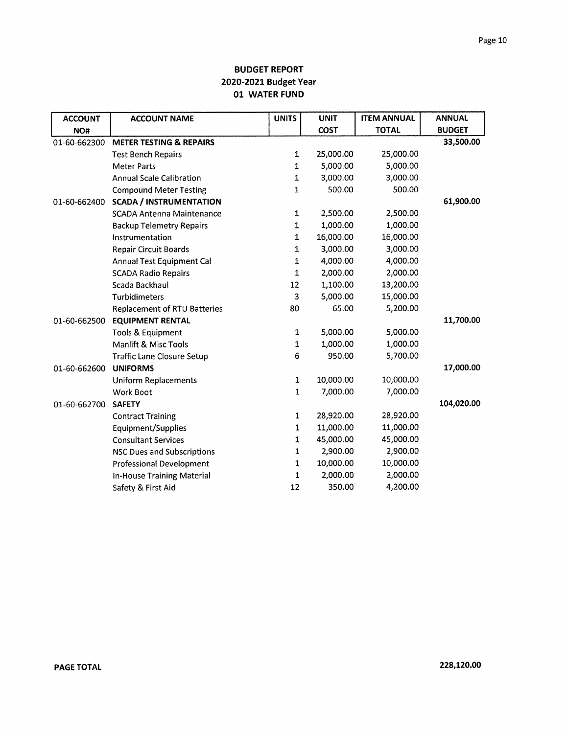| <b>ACCOUNT</b> | <b>ACCOUNT NAME</b>                 | <b>UNITS</b> | <b>UNIT</b> | <b>ITEM ANNUAL</b> | <b>ANNUAL</b> |
|----------------|-------------------------------------|--------------|-------------|--------------------|---------------|
| NO#            |                                     |              | <b>COST</b> | <b>TOTAL</b>       | <b>BUDGET</b> |
| 01-60-662300   | <b>METER TESTING &amp; REPAIRS</b>  |              |             |                    | 33,500.00     |
|                | <b>Test Bench Repairs</b>           | $\mathbf 1$  | 25,000.00   | 25,000.00          |               |
|                | <b>Meter Parts</b>                  | $\mathbf{1}$ | 5,000.00    | 5,000.00           |               |
|                | <b>Annual Scale Calibration</b>     | $\mathbf 1$  | 3,000.00    | 3,000.00           |               |
|                | <b>Compound Meter Testing</b>       | $\mathbf{1}$ | 500.00      | 500.00             |               |
| 01-60-662400   | <b>SCADA / INSTRUMENTATION</b>      |              |             |                    | 61,900.00     |
|                | <b>SCADA Antenna Maintenance</b>    | $\mathbf 1$  | 2,500.00    | 2,500.00           |               |
|                | <b>Backup Telemetry Repairs</b>     | 1            | 1,000.00    | 1,000.00           |               |
|                | Instrumentation                     | 1            | 16,000.00   | 16,000.00          |               |
|                | <b>Repair Circuit Boards</b>        | 1            | 3,000.00    | 3,000.00           |               |
|                | Annual Test Equipment Cal           | 1            | 4,000.00    | 4,000.00           |               |
|                | <b>SCADA Radio Repairs</b>          | 1            | 2,000.00    | 2,000.00           |               |
|                | Scada Backhaul                      | 12           | 1,100.00    | 13,200.00          |               |
|                | <b>Turbidimeters</b>                | 3            | 5,000.00    | 15,000.00          |               |
|                | <b>Replacement of RTU Batteries</b> | 80           | 65.00       | 5,200.00           |               |
| 01-60-662500   | <b>EQUIPMENT RENTAL</b>             |              |             |                    | 11,700.00     |
|                | Tools & Equipment                   | 1            | 5,000.00    | 5,000.00           |               |
|                | Manlift & Misc Tools                | 1            | 1,000.00    | 1,000.00           |               |
|                | <b>Traffic Lane Closure Setup</b>   | 6            | 950.00      | 5,700.00           |               |
| 01-60-662600   | <b>UNIFORMS</b>                     |              |             |                    | 17,000.00     |
|                | <b>Uniform Replacements</b>         | $\mathbf 1$  | 10,000.00   | 10,000.00          |               |
|                | Work Boot                           | 1            | 7,000.00    | 7,000.00           |               |
| 01-60-662700   | <b>SAFETY</b>                       |              |             |                    | 104,020.00    |
|                | <b>Contract Training</b>            | 1            | 28,920.00   | 28,920.00          |               |
|                | Equipment/Supplies                  | 1            | 11,000.00   | 11,000.00          |               |
|                | <b>Consultant Services</b>          | 1            | 45,000.00   | 45,000.00          |               |
|                | <b>NSC Dues and Subscriptions</b>   | 1            | 2,900.00    | 2,900.00           |               |
|                | <b>Professional Development</b>     | 1            | 10,000.00   | 10,000.00          |               |
|                | <b>In-House Training Material</b>   | 1            | 2,000.00    | 2,000.00           |               |
|                | Safety & First Aid                  | 12           | 350.00      | 4,200.00           |               |

 $\frac{1}{4}$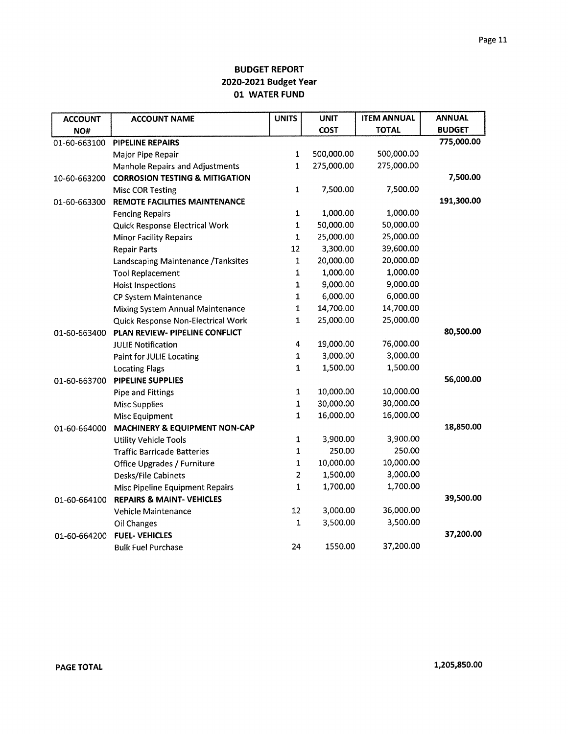| <b>ACCOUNT</b> | <b>ACCOUNT NAME</b>                       | <b>UNITS</b>   | <b>UNIT</b> | <b>ITEM ANNUAL</b> | <b>ANNUAL</b> |
|----------------|-------------------------------------------|----------------|-------------|--------------------|---------------|
| NO#            |                                           |                | <b>COST</b> | <b>TOTAL</b>       | <b>BUDGET</b> |
| 01-60-663100   | <b>PIPELINE REPAIRS</b>                   |                |             |                    | 775,000.00    |
|                | Major Pipe Repair                         | 1              | 500,000.00  | 500,000.00         |               |
|                | Manhole Repairs and Adjustments           | $\mathbf 1$    | 275,000.00  | 275,000.00         |               |
| 10-60-663200   | <b>CORROSION TESTING &amp; MITIGATION</b> |                |             |                    | 7,500.00      |
|                | <b>Misc COR Testing</b>                   | $\mathbf 1$    | 7,500.00    | 7,500.00           |               |
| 01-60-663300   | REMOTE FACILITIES MAINTENANCE             |                |             |                    | 191,300.00    |
|                | <b>Fencing Repairs</b>                    | $\mathbf{1}$   | 1,000.00    | 1,000.00           |               |
|                | Quick Response Electrical Work            | $\mathbf 1$    | 50,000.00   | 50,000.00          |               |
|                | <b>Minor Facility Repairs</b>             | $\mathbf{1}$   | 25,000.00   | 25,000.00          |               |
|                | <b>Repair Parts</b>                       | 12             | 3,300.00    | 39,600.00          |               |
|                | Landscaping Maintenance /Tanksites        | $\mathbf 1$    | 20,000.00   | 20,000.00          |               |
|                | <b>Tool Replacement</b>                   | 1              | 1,000.00    | 1,000.00           |               |
|                | <b>Hoist Inspections</b>                  | 1              | 9,000.00    | 9,000.00           |               |
|                | CP System Maintenance                     | $\mathbf 1$    | 6,000.00    | 6,000.00           |               |
|                | Mixing System Annual Maintenance          | 1              | 14,700.00   | 14,700.00          |               |
|                | Quick Response Non-Electrical Work        | 1              | 25,000.00   | 25,000.00          |               |
| 01-60-663400   | PLAN REVIEW- PIPELINE CONFLICT            |                |             |                    | 80,500.00     |
|                | <b>JULIE Notification</b>                 | 4              | 19,000.00   | 76,000.00          |               |
|                | <b>Paint for JULIE Locating</b>           | 1              | 3,000.00    | 3,000.00           |               |
|                | <b>Locating Flags</b>                     | 1              | 1,500.00    | 1,500.00           |               |
| 01-60-663700   | <b>PIPELINE SUPPLIES</b>                  |                |             |                    | 56,000.00     |
|                | <b>Pipe and Fittings</b>                  | $\mathbf{1}$   | 10,000.00   | 10,000.00          |               |
|                | <b>Misc Supplies</b>                      | 1              | 30,000.00   | 30,000.00          |               |
|                | Misc Equipment                            | 1              | 16,000.00   | 16,000.00          |               |
| 01-60-664000   | MACHINERY & EQUIPMENT NON-CAP             |                |             |                    | 18,850.00     |
|                | <b>Utility Vehicle Tools</b>              | 1              | 3,900.00    | 3,900.00           |               |
|                | <b>Traffic Barricade Batteries</b>        | 1              | 250.00      | 250.00             |               |
|                | Office Upgrades / Furniture               | 1              | 10,000.00   | 10,000.00          |               |
|                | Desks/File Cabinets                       | $\overline{2}$ | 1,500.00    | 3,000.00           |               |
|                | Misc Pipeline Equipment Repairs           | 1              | 1,700.00    | 1,700.00           |               |
| 01-60-664100   | <b>REPAIRS &amp; MAINT- VEHICLES</b>      |                |             |                    | 39,500.00     |
|                | Vehicle Maintenance                       | 12             | 3,000.00    | 36,000.00          |               |
|                | Oil Changes                               | 1              | 3,500.00    | 3,500.00           |               |
| 01-60-664200   | <b>FUEL-VEHICLES</b>                      |                |             |                    | 37,200.00     |
|                | <b>Bulk Fuel Purchase</b>                 | 24             | 1550.00     | 37,200.00          |               |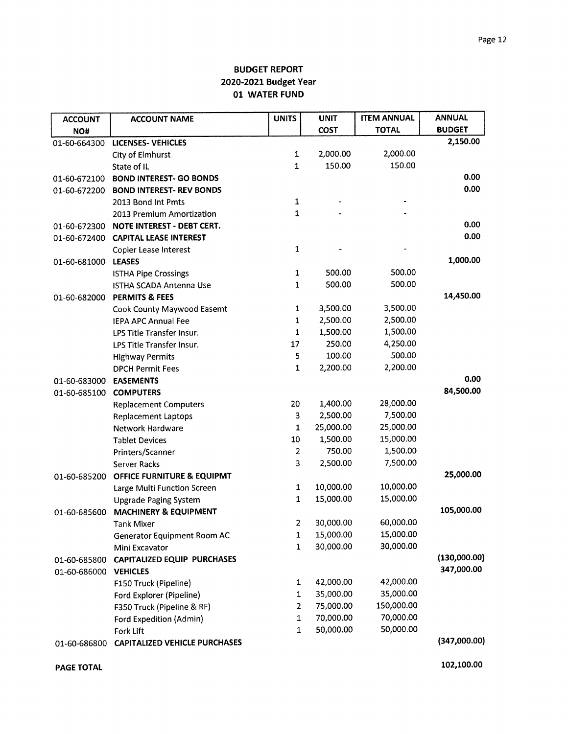| <b>ACCOUNT</b> | <b>ACCOUNT NAME</b>                  | <b>UNITS</b>   | <b>UNIT</b> | <b>ITEM ANNUAL</b> | <b>ANNUAL</b> |
|----------------|--------------------------------------|----------------|-------------|--------------------|---------------|
| NO#            |                                      |                | <b>COST</b> | <b>TOTAL</b>       | <b>BUDGET</b> |
| 01-60-664300   | <b>LICENSES- VEHICLES</b>            |                |             |                    | 2,150.00      |
|                | <b>City of Elmhurst</b>              | $\mathbf{1}$   | 2,000.00    | 2,000.00           |               |
|                | State of IL                          | 1              | 150.00      | 150.00             |               |
| 01-60-672100   | <b>BOND INTEREST- GO BONDS</b>       |                |             |                    | 0.00          |
| 01-60-672200   | <b>BOND INTEREST- REV BONDS</b>      |                |             |                    | 0.00          |
|                | 2013 Bond Int Pmts                   | 1              |             |                    |               |
|                | 2013 Premium Amortization            | 1              |             |                    |               |
| 01-60-672300   | NOTE INTEREST - DEBT CERT.           |                |             |                    | 0.00          |
| 01-60-672400   | <b>CAPITAL LEASE INTEREST</b>        |                |             |                    | 0.00          |
|                | Copier Lease Interest                | $\mathbf{1}$   |             |                    |               |
| 01-60-681000   | <b>LEASES</b>                        |                |             |                    | 1,000.00      |
|                | <b>ISTHA Pipe Crossings</b>          | 1              | 500.00      | 500.00             |               |
|                | <b>ISTHA SCADA Antenna Use</b>       | $\mathbf{1}$   | 500.00      | 500.00             |               |
| 01-60-682000   | <b>PERMITS &amp; FEES</b>            |                |             |                    | 14,450.00     |
|                | <b>Cook County Maywood Easemt</b>    | 1              | 3,500.00    | 3,500.00           |               |
|                | <b>IEPA APC Annual Fee</b>           | 1              | 2,500.00    | 2,500.00           |               |
|                | LPS Title Transfer Insur.            | 1              | 1,500.00    | 1,500.00           |               |
|                | LPS Title Transfer Insur.            | 17             | 250.00      | 4,250.00           |               |
|                | <b>Highway Permits</b>               | 5              | 100.00      | 500.00             |               |
|                | <b>DPCH Permit Fees</b>              | 1              | 2,200.00    | 2,200.00           |               |
| 01-60-683000   | <b>EASEMENTS</b>                     |                |             |                    | 0.00          |
| 01-60-685100   | <b>COMPUTERS</b>                     |                |             |                    | 84,500.00     |
|                | <b>Replacement Computers</b>         | 20             | 1,400.00    | 28,000.00          |               |
|                | <b>Replacement Laptops</b>           | 3              | 2,500.00    | 7,500.00           |               |
|                | Network Hardware                     | $\mathbf 1$    | 25,000.00   | 25,000.00          |               |
|                | <b>Tablet Devices</b>                | 10             | 1,500.00    | 15,000.00          |               |
|                | Printers/Scanner                     | $\overline{2}$ | 750.00      | 1,500.00           |               |
|                | <b>Server Racks</b>                  | 3              | 2,500.00    | 7,500.00           |               |
| 01-60-685200   | OFFICE FURNITURE & EQUIPMT           |                |             |                    | 25,000.00     |
|                | Large Multi Function Screen          | $\mathbf{1}$   | 10,000.00   | 10,000.00          |               |
|                | <b>Upgrade Paging System</b>         | 1              | 15,000.00   | 15,000.00          |               |
| 01-60-685600   | <b>MACHINERY &amp; EQUIPMENT</b>     |                |             |                    | 105,000.00    |
|                | <b>Tank Mixer</b>                    | $\overline{2}$ | 30,000.00   | 60,000.00          |               |
|                | <b>Generator Equipment Room AC</b>   | 1              | 15,000.00   | 15,000.00          |               |
|                | Mini Excavator                       | 1              | 30,000.00   | 30,000.00          |               |
| 01-60-685800   | <b>CAPITALIZED EQUIP PURCHASES</b>   |                |             |                    | (130,000.00)  |
| 01-60-686000   | <b>VEHICLES</b>                      |                |             |                    | 347,000.00    |
|                | F150 Truck (Pipeline)                | 1              | 42,000.00   | 42,000.00          |               |
|                | Ford Explorer (Pipeline)             | $\mathbf 1$    | 35,000.00   | 35,000.00          |               |
|                | F350 Truck (Pipeline & RF)           | $\overline{c}$ | 75,000.00   | 150,000.00         |               |
|                | Ford Expedition (Admin)              | 1              | 70,000.00   | 70,000.00          |               |
|                | Fork Lift                            | $\mathbf 1$    | 50,000.00   | 50,000.00          |               |
| 01-60-686800   | <b>CAPITALIZED VEHICLE PURCHASES</b> |                |             |                    | (347,000.00)  |

**PAGE TOTAL** 

**102,100.00**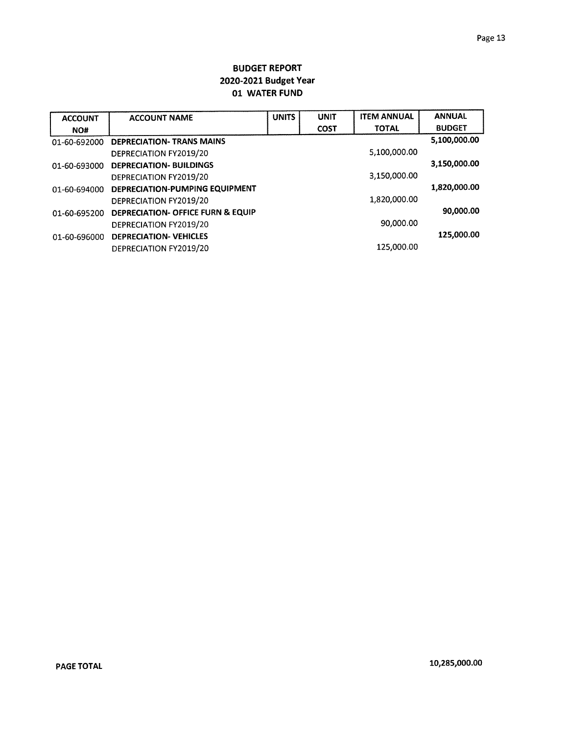| <b>ACCOUNT</b> | <b>ACCOUNT NAME</b>               | <b>UNITS</b> | <b>UNIT</b> | <b>ITEM ANNUAL</b> | <b>ANNUAL</b> |
|----------------|-----------------------------------|--------------|-------------|--------------------|---------------|
| NO#            |                                   |              | <b>COST</b> | <b>TOTAL</b>       | <b>BUDGET</b> |
| 01-60-692000   | <b>DEPRECIATION- TRANS MAINS</b>  |              |             |                    | 5,100,000.00  |
|                | DEPRECIATION FY2019/20            |              |             | 5,100,000.00       |               |
| 01-60-693000   | <b>DEPRECIATION- BUILDINGS</b>    |              |             |                    | 3.150.000.00  |
|                | DEPRECIATION FY2019/20            |              |             | 3,150,000.00       |               |
| 01-60-694000   | DEPRECIATION-PUMPING EQUIPMENT    |              |             |                    | 1,820,000.00  |
|                | DEPRECIATION FY2019/20            |              |             | 1,820,000.00       |               |
| 01-60-695200   | DEPRECIATION- OFFICE FURN & EQUIP |              |             |                    | 90,000.00     |
|                | DEPRECIATION FY2019/20            |              |             | 90,000.00          |               |
| 01-60-696000   | <b>DEPRECIATION- VEHICLES</b>     |              |             |                    | 125,000.00    |
|                | DEPRECIATION FY2019/20            |              |             | 125,000.00         |               |